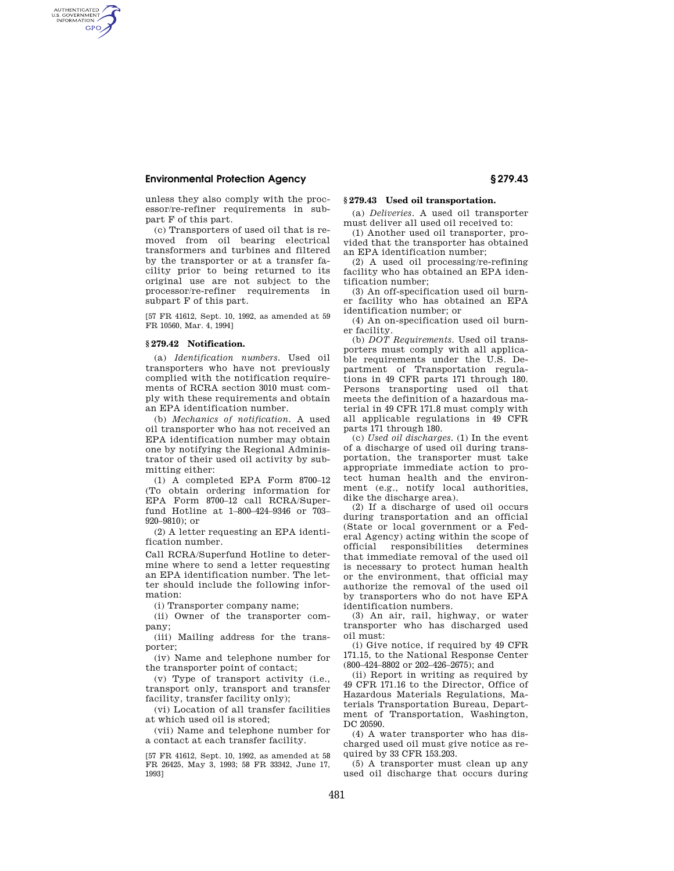# **Environmental Protection Agency § 279.43**

AUTHENTICATED<br>U.S. GOVERNMENT<br>INFORMATION GPO

> unless they also comply with the processor/re-refiner requirements in subpart F of this part.

(c) Transporters of used oil that is removed from oil bearing electrical transformers and turbines and filtered by the transporter or at a transfer facility prior to being returned to its original use are not subject to the processor/re-refiner requirements in subpart F of this part.

[57 FR 41612, Sept. 10, 1992, as amended at 59 FR 10560, Mar. 4, 1994]

### **§ 279.42 Notification.**

(a) *Identification numbers.* Used oil transporters who have not previously complied with the notification requirements of RCRA section 3010 must comply with these requirements and obtain an EPA identification number.

(b) *Mechanics of notification.* A used oil transporter who has not received an EPA identification number may obtain one by notifying the Regional Administrator of their used oil activity by submitting either:

(1) A completed EPA Form 8700–12 (To obtain ordering information for EPA Form 8700–12 call RCRA/Superfund Hotline at 1–800–424–9346 or 703– 920–9810); or

(2) A letter requesting an EPA identification number.

Call RCRA/Superfund Hotline to determine where to send a letter requesting an EPA identification number. The letter should include the following information:

(i) Transporter company name;

(ii) Owner of the transporter company;

(iii) Mailing address for the transporter;

(iv) Name and telephone number for the transporter point of contact;

(v) Type of transport activity (i.e., transport only, transport and transfer facility, transfer facility only);

(vi) Location of all transfer facilities at which used oil is stored;

(vii) Name and telephone number for a contact at each transfer facility.

[57 FR 41612, Sept. 10, 1992, as amended at 58 FR 26425, May 3, 1993; 58 FR 33342, June 17, 1993]

## **§ 279.43 Used oil transportation.**

(a) *Deliveries.* A used oil transporter must deliver all used oil received to:

(1) Another used oil transporter, provided that the transporter has obtained an EPA identification number;

(2) A used oil processing/re-refining facility who has obtained an EPA identification number;

(3) An off-specification used oil burner facility who has obtained an EPA identification number; or

(4) An on-specification used oil burner facility.

(b) *DOT Requirements.* Used oil transporters must comply with all applicable requirements under the U.S. Department of Transportation regulations in 49 CFR parts 171 through 180. Persons transporting used oil that meets the definition of a hazardous material in 49 CFR 171.8 must comply with all applicable regulations in 49 CFR parts 171 through 180.

(c) *Used oil discharges.* (1) In the event of a discharge of used oil during transportation, the transporter must take appropriate immediate action to protect human health and the environment (e.g., notify local authorities, dike the discharge area).

(2) If a discharge of used oil occurs during transportation and an official (State or local government or a Federal Agency) acting within the scope of official responsibilities determines that immediate removal of the used oil is necessary to protect human health or the environment, that official may authorize the removal of the used oil by transporters who do not have EPA identification numbers.

(3) An air, rail, highway, or water transporter who has discharged used oil must:

(i) Give notice, if required by 49 CFR 171.15, to the National Response Center (800–424–8802 or 202–426–2675); and

(ii) Report in writing as required by 49 CFR 171.16 to the Director, Office of Hazardous Materials Regulations, Materials Transportation Bureau, Department of Transportation, Washington, DC 20590.

(4) A water transporter who has discharged used oil must give notice as required by 33 CFR 153.203.

(5) A transporter must clean up any used oil discharge that occurs during